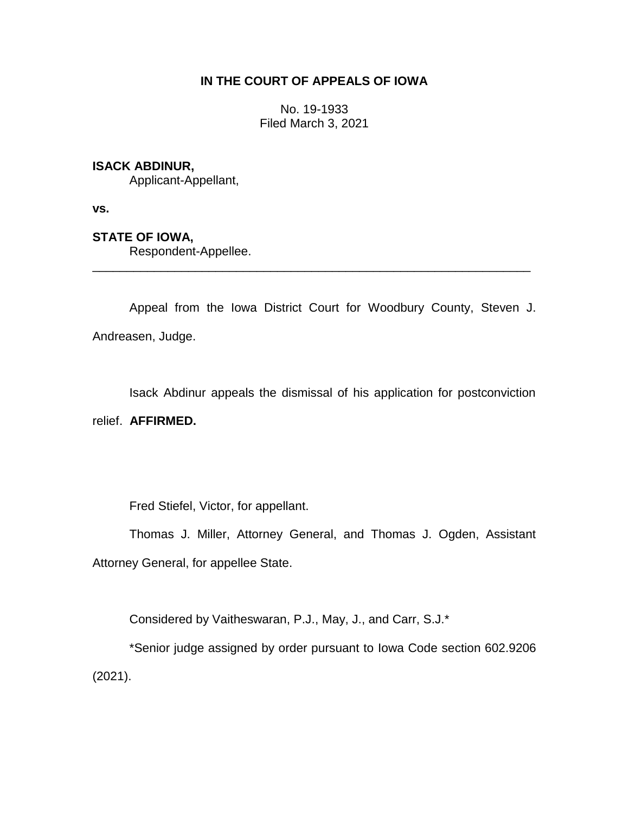# **IN THE COURT OF APPEALS OF IOWA**

No. 19-1933 Filed March 3, 2021

## **ISACK ABDINUR,**

Applicant-Appellant,

**vs.**

## **STATE OF IOWA,**

Respondent-Appellee.

Appeal from the Iowa District Court for Woodbury County, Steven J. Andreasen, Judge.

\_\_\_\_\_\_\_\_\_\_\_\_\_\_\_\_\_\_\_\_\_\_\_\_\_\_\_\_\_\_\_\_\_\_\_\_\_\_\_\_\_\_\_\_\_\_\_\_\_\_\_\_\_\_\_\_\_\_\_\_\_\_\_\_

Isack Abdinur appeals the dismissal of his application for postconviction relief. **AFFIRMED.**

Fred Stiefel, Victor, for appellant.

Thomas J. Miller, Attorney General, and Thomas J. Ogden, Assistant Attorney General, for appellee State.

Considered by Vaitheswaran, P.J., May, J., and Carr, S.J.\*

\*Senior judge assigned by order pursuant to Iowa Code section 602.9206 (2021).